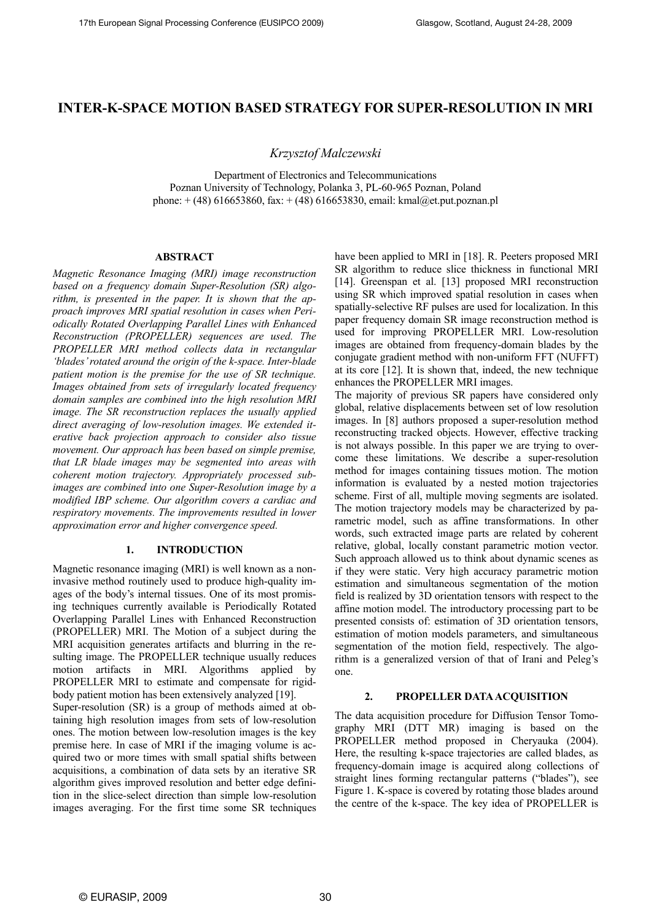# INTER-K-SPACE MOTION BASED STRATEGY FOR SUPER-RESOLUTION IN MRI

Krzysztof Malczewski

Department of Electronics and Telecommunications Poznan University of Technology, Polanka 3, PL-60-965 Poznan, Poland phone:  $+(48)$  616653860, fax:  $+(48)$  616653830, email: kmal@et.put.poznan.pl

# ABSTRACT

Magnetic Resonance Imaging (MRI) image reconstruction based on a frequency domain Super-Resolution (SR) algorithm, is presented in the paper. It is shown that the approach improves MRI spatial resolution in cases when Periodically Rotated Overlapping Parallel Lines with Enhanced Reconstruction (PROPELLER) sequences are used. The PROPELLER MRI method collects data in rectangular 'blades' rotated around the origin of the k-space. Inter-blade patient motion is the premise for the use of SR technique. Images obtained from sets of irregularly located frequency domain samples are combined into the high resolution MRI image. The SR reconstruction replaces the usually applied direct averaging of low-resolution images. We extended iterative back projection approach to consider also tissue movement. Our approach has been based on simple premise, that LR blade images may be segmented into areas with coherent motion trajectory. Appropriately processed subimages are combined into one Super-Resolution image by a modified IBP scheme. Our algorithm covers a cardiac and respiratory movements. The improvements resulted in lower approximation error and higher convergence speed.

# 1. INTRODUCTION

Magnetic resonance imaging (MRI) is well known as a noninvasive method routinely used to produce high-quality images of the body's internal tissues. One of its most promising techniques currently available is Periodically Rotated Overlapping Parallel Lines with Enhanced Reconstruction (PROPELLER) MRI. The Motion of a subject during the MRI acquisition generates artifacts and blurring in the resulting image. The PROPELLER technique usually reduces motion artifacts in MRI. Algorithms applied by PROPELLER MRI to estimate and compensate for rigidbody patient motion has been extensively analyzed [19].

Super-resolution (SR) is a group of methods aimed at obtaining high resolution images from sets of low-resolution ones. The motion between low-resolution images is the key premise here. In case of MRI if the imaging volume is acquired two or more times with small spatial shifts between acquisitions, a combination of data sets by an iterative SR algorithm gives improved resolution and better edge definition in the slice-select direction than simple low-resolution images averaging. For the first time some SR techniques have been applied to MRI in [18]. R. Peeters proposed MRI SR algorithm to reduce slice thickness in functional MRI [14]. Greenspan et al. [13] proposed MRI reconstruction using SR which improved spatial resolution in cases when spatially-selective RF pulses are used for localization. In this paper frequency domain SR image reconstruction method is used for improving PROPELLER MRI. Low-resolution images are obtained from frequency-domain blades by the conjugate gradient method with non-uniform FFT (NUFFT) at its core [12]. It is shown that, indeed, the new technique enhances the PROPELLER MRI images.

The majority of previous SR papers have considered only global, relative displacements between set of low resolution images. In [8] authors proposed a super-resolution method reconstructing tracked objects. However, effective tracking is not always possible. In this paper we are trying to overcome these limitations. We describe a super-resolution method for images containing tissues motion. The motion information is evaluated by a nested motion trajectories scheme. First of all, multiple moving segments are isolated. The motion trajectory models may be characterized by parametric model, such as affine transformations. In other words, such extracted image parts are related by coherent relative, global, locally constant parametric motion vector. Such approach allowed us to think about dynamic scenes as if they were static. Very high accuracy parametric motion estimation and simultaneous segmentation of the motion field is realized by 3D orientation tensors with respect to the affine motion model. The introductory processing part to be presented consists of: estimation of 3D orientation tensors, estimation of motion models parameters, and simultaneous segmentation of the motion field, respectively. The algorithm is a generalized version of that of Irani and Peleg's one.

#### 2. PROPELLER DATA ACQUISITION

The data acquisition procedure for Diffusion Tensor Tomography MRI (DTT MR) imaging is based on the PROPELLER method proposed in Cheryauka (2004). Here, the resulting k-space trajectories are called blades, as frequency-domain image is acquired along collections of straight lines forming rectangular patterns ("blades"), see Figure 1. K-space is covered by rotating those blades around the centre of the k-space. The key idea of PROPELLER is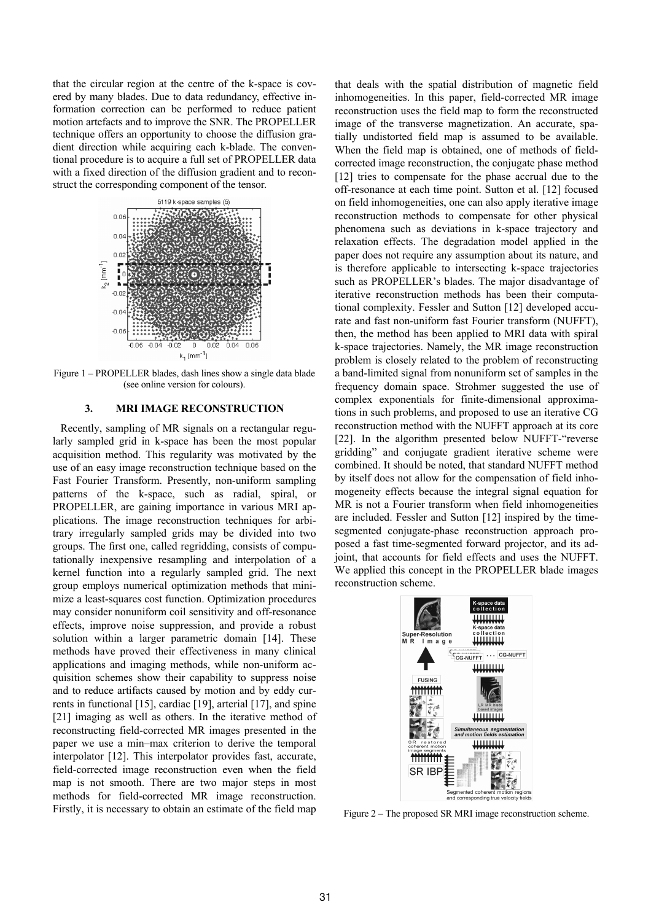that the circular region at the centre of the k-space is covered by many blades. Due to data redundancy, effective information correction can be performed to reduce patient motion artefacts and to improve the SNR. The PROPELLER technique offers an opportunity to choose the diffusion gradient direction while acquiring each k-blade. The conventional procedure is to acquire a full set of PROPELLER data with a fixed direction of the diffusion gradient and to reconstruct the corresponding component of the tensor.



Figure 1 – PROPELLER blades, dash lines show a single data blade (see online version for colours).

### 3. MRI IMAGE RECONSTRUCTION

Recently, sampling of MR signals on a rectangular regularly sampled grid in k-space has been the most popular acquisition method. This regularity was motivated by the use of an easy image reconstruction technique based on the Fast Fourier Transform. Presently, non-uniform sampling patterns of the k-space, such as radial, spiral, or PROPELLER, are gaining importance in various MRI applications. The image reconstruction techniques for arbitrary irregularly sampled grids may be divided into two groups. The first one, called regridding, consists of computationally inexpensive resampling and interpolation of a kernel function into a regularly sampled grid. The next group employs numerical optimization methods that minimize a least-squares cost function. Optimization procedures may consider nonuniform coil sensitivity and off-resonance effects, improve noise suppression, and provide a robust solution within a larger parametric domain [14]. These methods have proved their effectiveness in many clinical applications and imaging methods, while non-uniform acquisition schemes show their capability to suppress noise and to reduce artifacts caused by motion and by eddy currents in functional [15], cardiac [19], arterial [17], and spine [21] imaging as well as others. In the iterative method of reconstructing field-corrected MR images presented in the paper we use a min–max criterion to derive the temporal interpolator [12]. This interpolator provides fast, accurate, field-corrected image reconstruction even when the field map is not smooth. There are two major steps in most methods for field-corrected MR image reconstruction. Firstly, it is necessary to obtain an estimate of the field map that deals with the spatial distribution of magnetic field inhomogeneities. In this paper, field-corrected MR image reconstruction uses the field map to form the reconstructed image of the transverse magnetization. An accurate, spatially undistorted field map is assumed to be available. When the field map is obtained, one of methods of fieldcorrected image reconstruction, the conjugate phase method [12] tries to compensate for the phase accrual due to the off-resonance at each time point. Sutton et al. [12] focused on field inhomogeneities, one can also apply iterative image reconstruction methods to compensate for other physical phenomena such as deviations in k-space trajectory and relaxation effects. The degradation model applied in the paper does not require any assumption about its nature, and is therefore applicable to intersecting k-space trajectories such as PROPELLER's blades. The major disadvantage of iterative reconstruction methods has been their computational complexity. Fessler and Sutton [12] developed accurate and fast non-uniform fast Fourier transform (NUFFT), then, the method has been applied to MRI data with spiral k-space trajectories. Namely, the MR image reconstruction problem is closely related to the problem of reconstructing a band-limited signal from nonuniform set of samples in the frequency domain space. Strohmer suggested the use of complex exponentials for finite-dimensional approximations in such problems, and proposed to use an iterative CG reconstruction method with the NUFFT approach at its core [22]. In the algorithm presented below NUFFT-"reverse gridding" and conjugate gradient iterative scheme were combined. It should be noted, that standard NUFFT method by itself does not allow for the compensation of field inhomogeneity effects because the integral signal equation for MR is not a Fourier transform when field inhomogeneities are included. Fessler and Sutton [12] inspired by the timesegmented conjugate-phase reconstruction approach proposed a fast time-segmented forward projector, and its adjoint, that accounts for field effects and uses the NUFFT. We applied this concept in the PROPELLER blade images reconstruction scheme.



Figure 2 – The proposed SR MRI image reconstruction scheme.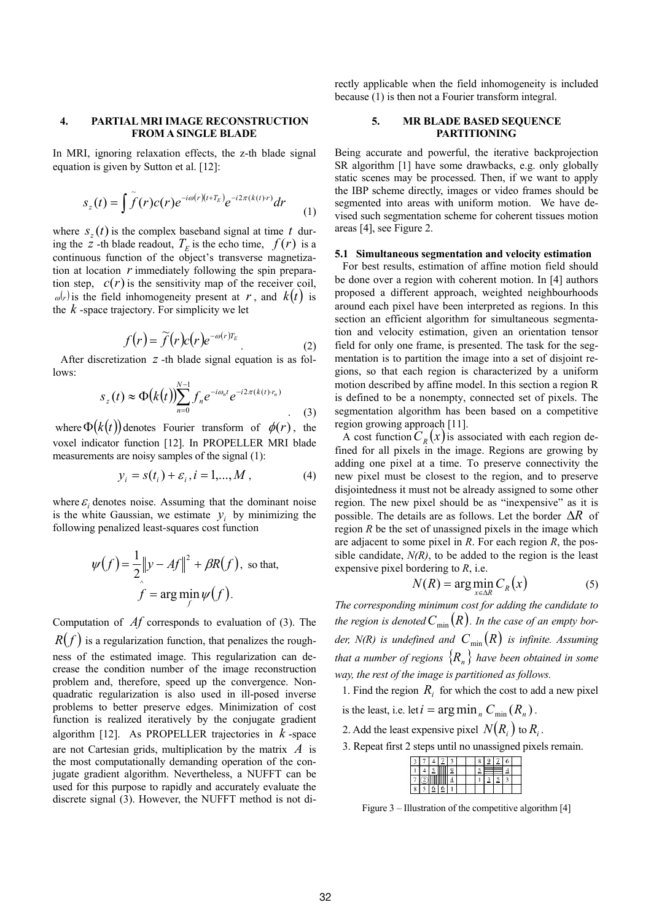## 4. PARTIAL MRI IMAGE RECONSTRUCTION FROM A SINGLE BLADE

In MRI, ignoring relaxation effects, the z-th blade signal equation is given by Sutton et al. [12]:

$$
s_z(t) = \int \tilde{f}(r)c(r)e^{-i\omega(r)(t+T_E)}e^{-i2\pi(k(t)r)}dr
$$
 (1)

where  $s_z(t)$  is the complex baseband signal at time t during the z -th blade readout,  $T_E$  is the echo time,  $f(r)$  is a continuous function of the object's transverse magnetization at location  *immediately following the spin prepara*tion step,  $c(r)$  is the sensitivity map of the receiver coil,  $\omega(r)$  is the field inhomogeneity present at r, and  $k(t)$  is the  $k$ -space trajectory. For simplicity we let

$$
f(r) = \widetilde{f}(r)c(r)e^{-\omega(r)T_E}
$$
\n(2)

After discretization  $z$  -th blade signal equation is as follows:

$$
S_z(t) \approx \Phi(k(t)) \sum_{n=0}^{N-1} f_n e^{-i\omega_n t} e^{-i2\pi (k(t) \cdot r_n)}
$$
 (3)

where  $\Phi(k(t))$  denotes Fourier transform of  $\phi(r)$ , the voxel indicator function [12]. In PROPELLER MRI blade measurements are noisy samples of the signal (1):

$$
y_i = s(t_i) + \varepsilon_i, i = 1,...,M,
$$
 (4)

where  $\varepsilon_i$  denotes noise. Assuming that the dominant noise is the white Gaussian, we estimate  $y_i$  by minimizing the following penalized least-squares cost function

$$
\psi(f) = \frac{1}{2} \|y - Af\|^2 + \beta R(f), \text{ so that,}
$$

$$
\hat{f} = \arg\min_{f} \psi(f).
$$

Computation of  $\Lambda f$  corresponds to evaluation of (3). The  $R(f)$  is a regularization function, that penalizes the roughness of the estimated image. This regularization can decrease the condition number of the image reconstruction problem and, therefore, speed up the convergence. Nonquadratic regularization is also used in ill-posed inverse problems to better preserve edges. Minimization of cost function is realized iteratively by the conjugate gradient algorithm [12]. As PROPELLER trajectories in  $k$ -space are not Cartesian grids, multiplication by the matrix  $\vec{A}$  is the most computationally demanding operation of the conjugate gradient algorithm. Nevertheless, a NUFFT can be used for this purpose to rapidly and accurately evaluate the discrete signal (3). However, the NUFFT method is not directly applicable when the field inhomogeneity is included because (1) is then not a Fourier transform integral.

# 5. MR BLADE BASED SEQUENCE PARTITIONING

Being accurate and powerful, the iterative backprojection SR algorithm [1] have some drawbacks, e.g. only globally static scenes may be processed. Then, if we want to apply the IBP scheme directly, images or video frames should be segmented into areas with uniform motion. We have devised such segmentation scheme for coherent tissues motion areas [4], see Figure 2.

#### 5.1 Simultaneous segmentation and velocity estimation

For best results, estimation of affine motion field should be done over a region with coherent motion. In [4] authors proposed a different approach, weighted neighbourhoods around each pixel have been interpreted as regions. In this section an efficient algorithm for simultaneous segmentation and velocity estimation, given an orientation tensor field for only one frame, is presented. The task for the segmentation is to partition the image into a set of disjoint regions, so that each region is characterized by a uniform motion described by affine model. In this section a region R is defined to be a nonempty, connected set of pixels. The segmentation algorithm has been based on a competitive region growing approach [11].

A cost function  $C_R(x)$  is associated with each region defined for all pixels in the image. Regions are growing by adding one pixel at a time. To preserve connectivity the new pixel must be closest to the region, and to preserve disjointedness it must not be already assigned to some other region. The new pixel should be as "inexpensive" as it is possible. The details are as follows. Let the border  $\Delta R$  of region  $R$  be the set of unassigned pixels in the image which are adjacent to some pixel in  $R$ . For each region  $R$ , the possible candidate,  $N(R)$ , to be added to the region is the least expensive pixel bordering to R, i.e.

$$
N(R) = \arg\min_{x \in \Delta R} C_R(x)
$$
 (5)

The corresponding minimum cost for adding the candidate to the region is denoted  $C_{\min}(R)$ . In the case of an empty border,  $N(R)$  is undefined and  $C_{\min}(R)$  is infinite. Assuming that a number of regions  $\{R_n\}$  have been obtained in some way, the rest of the image is partitioned as follows.

1. Find the region  $R_i$  for which the cost to add a new pixel

is the least, i.e. let  $i = \arg \min_{n} C_{\min}(R_n)$ .

2. Add the least expensive pixel  $N(R_i)$  to  $R_i$ .

3. Repeat first 2 steps until no unassigned pixels remain.

|  |  | ٠ |  | о |  |  |
|--|--|---|--|---|--|--|
|  |  | c |  |   |  |  |
|  |  |   |  |   |  |  |
|  |  |   |  |   |  |  |

Figure 3 – Illustration of the competitive algorithm [4]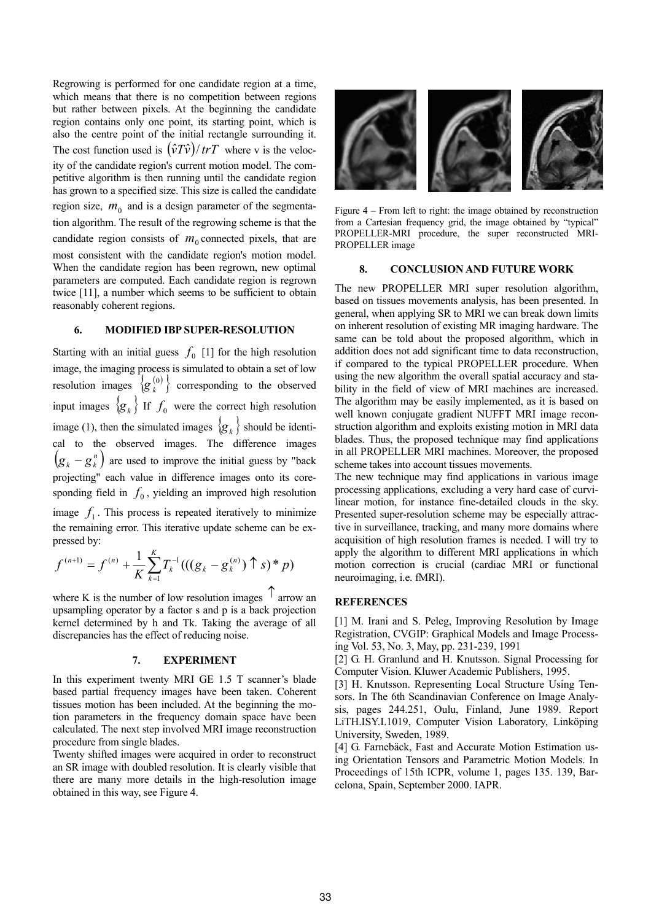Regrowing is performed for one candidate region at a time, which means that there is no competition between regions but rather between pixels. At the beginning the candidate region contains only one point, its starting point, which is also the centre point of the initial rectangle surrounding it. The cost function used is  $(\hat{v}T\hat{v})/trT$  where v is the velocity of the candidate region's current motion model. The competitive algorithm is then running until the candidate region has grown to a specified size. This size is called the candidate region size,  $m_0$  and is a design parameter of the segmentation algorithm. The result of the regrowing scheme is that the candidate region consists of  $m_0$  connected pixels, that are most consistent with the candidate region's motion model. When the candidate region has been regrown, new optimal parameters are computed. Each candidate region is regrown twice [11], a number which seems to be sufficient to obtain reasonably coherent regions.

## 6. MODIFIED IBP SUPER-RESOLUTION

Starting with an initial guess  $f_0$  [1] for the high resolution image, the imaging process is simulated to obtain a set of low resolution images  $\{g_k^{(0)}\}\$  $g_k^{(0)}$ } corresponding to the observed input images  $\{g_k\}$  If  $f_0$  were the correct high resolution image (1), then the simulated images  $\{g_k\}$  should be identical to the observed images. The difference images  $(g_k - g_k^n)$  are used to improve the initial guess by "back projecting" each value in difference images onto its coresponding field in  $f_0$ , yielding an improved high resolution image  $f_1$ . This process is repeated iteratively to minimize the remaining error. This iterative update scheme can be expressed by:

$$
f^{(n+1)} = f^{(n)} + \frac{1}{K} \sum_{k=1}^{K} T_k^{-1}(((g_k - g_k^{(n)}) \uparrow s)^* p)
$$

where K is the number of low resolution images  $\uparrow$  arrow an upsampling operator by a factor s and p is a back projection kernel determined by h and Tk. Taking the average of all discrepancies has the effect of reducing noise.

#### 7. EXPERIMENT

In this experiment twenty MRI GE 1.5 T scanner's blade based partial frequency images have been taken. Coherent tissues motion has been included. At the beginning the motion parameters in the frequency domain space have been calculated. The next step involved MRI image reconstruction procedure from single blades.

Twenty shifted images were acquired in order to reconstruct an SR image with doubled resolution. It is clearly visible that there are many more details in the high-resolution image obtained in this way, see Figure 4.



Figure 4 – From left to right: the image obtained by reconstruction from a Cartesian frequency grid, the image obtained by "typical" PROPELLER-MRI procedure, the super reconstructed MRI-PROPELLER image

## 8. CONCLUSION AND FUTURE WORK

The new PROPELLER MRI super resolution algorithm, based on tissues movements analysis, has been presented. In general, when applying SR to MRI we can break down limits on inherent resolution of existing MR imaging hardware. The same can be told about the proposed algorithm, which in addition does not add significant time to data reconstruction, if compared to the typical PROPELLER procedure. When using the new algorithm the overall spatial accuracy and stability in the field of view of MRI machines are increased. The algorithm may be easily implemented, as it is based on well known conjugate gradient NUFFT MRI image reconstruction algorithm and exploits existing motion in MRI data blades. Thus, the proposed technique may find applications in all PROPELLER MRI machines. Moreover, the proposed scheme takes into account tissues movements.

The new technique may find applications in various image processing applications, excluding a very hard case of curvilinear motion, for instance fine-detailed clouds in the sky. Presented super-resolution scheme may be especially attractive in surveillance, tracking, and many more domains where acquisition of high resolution frames is needed. I will try to apply the algorithm to different MRI applications in which motion correction is crucial (cardiac MRI or functional neuroimaging, i.e. fMRI).

### **REFERENCES**

[1] M. Irani and S. Peleg, Improving Resolution by Image Registration, CVGIP: Graphical Models and Image Processing Vol. 53, No. 3, May, pp. 231-239, 1991

[2] G. H. Granlund and H. Knutsson. Signal Processing for Computer Vision. Kluwer Academic Publishers, 1995.

[3] H. Knutsson. Representing Local Structure Using Tensors. In The 6th Scandinavian Conference on Image Analysis, pages 244.251, Oulu, Finland, June 1989. Report LiTH.ISY.I.1019, Computer Vision Laboratory, Linköping University, Sweden, 1989.

[4] G. Farnebäck, Fast and Accurate Motion Estimation using Orientation Tensors and Parametric Motion Models. In Proceedings of 15th ICPR, volume 1, pages 135. 139, Barcelona, Spain, September 2000. IAPR.